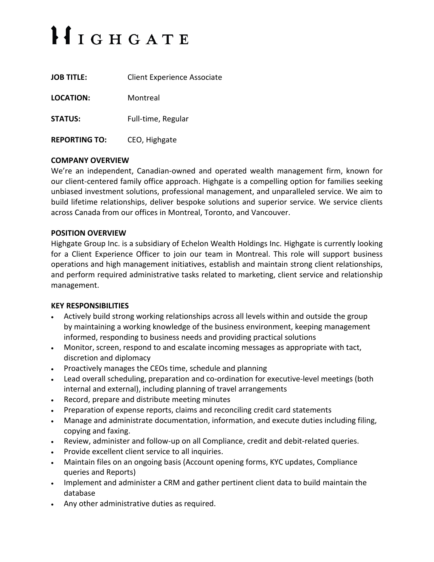# $HIGHGATE$

| <b>JOB TITLE:</b>    | <b>Client Experience Associate</b> |
|----------------------|------------------------------------|
| LOCATION:            | Montreal                           |
| <b>STATUS:</b>       | Full-time, Regular                 |
| <b>REPORTING TO:</b> | CEO, Highgate                      |

## **COMPANY OVERVIEW**

We're an independent, Canadian-owned and operated wealth management firm, known for our client-centered family office approach. Highgate is a compelling option for families seeking unbiased investment solutions, professional management, and unparalleled service. We aim to build lifetime relationships, deliver bespoke solutions and superior service. We service clients across Canada from our offices in Montreal, Toronto, and Vancouver.

## **POSITION OVERVIEW**

Highgate Group Inc. is a subsidiary of Echelon Wealth Holdings Inc. Highgate is currently looking for a Client Experience Officer to join our team in Montreal. This role will support business operations and high management initiatives, establish and maintain strong client relationships, and perform required administrative tasks related to marketing, client service and relationship management.

## **KEY RESPONSIBILITIES**

- Actively build strong working relationships across all levels within and outside the group by maintaining a working knowledge of the business environment, keeping management informed, responding to business needs and providing practical solutions
- Monitor, screen, respond to and escalate incoming messages as appropriate with tact, discretion and diplomacy
- Proactively manages the CEOs time, schedule and planning
- Lead overall scheduling, preparation and co-ordination for executive-level meetings (both internal and external), including planning of travel arrangements
- Record, prepare and distribute meeting minutes
- Preparation of expense reports, claims and reconciling credit card statements
- Manage and administrate documentation, information, and execute duties including filing, copying and faxing.
- Review, administer and follow-up on all Compliance, credit and debit-related queries.
- Provide excellent client service to all inquiries.
- Maintain files on an ongoing basis (Account opening forms, KYC updates, Compliance queries and Reports)
- Implement and administer a CRM and gather pertinent client data to build maintain the database
- Any other administrative duties as required.